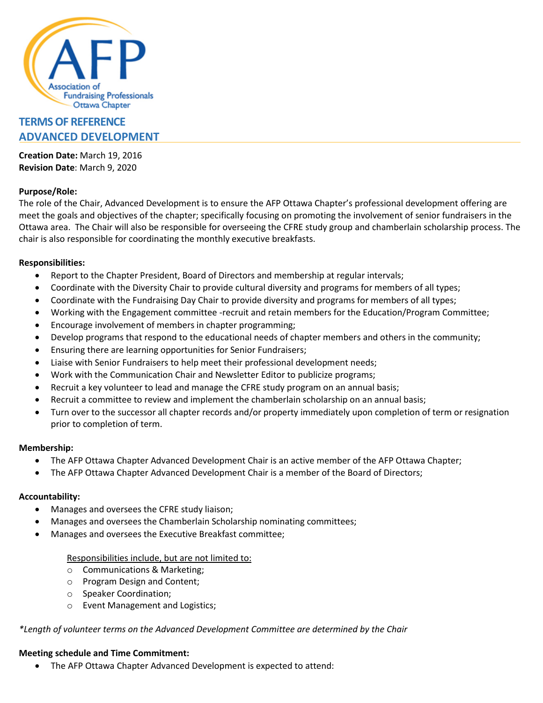

# **TERMS OF REFERENCE ADVANCED DEVELOPMENT**

**Creation Date:** March 19, 2016 **Revision Date**: March 9, 2020

## **Purpose/Role:**

The role of the Chair, Advanced Development is to ensure the AFP Ottawa Chapter's professional development offering are meet the goals and objectives of the chapter; specifically focusing on promoting the involvement of senior fundraisers in the Ottawa area. The Chair will also be responsible for overseeing the CFRE study group and chamberlain scholarship process. The chair is also responsible for coordinating the monthly executive breakfasts.

## **Responsibilities:**

- Report to the Chapter President, Board of Directors and membership at regular intervals;
- Coordinate with the Diversity Chair to provide cultural diversity and programs for members of all types;
- Coordinate with the Fundraising Day Chair to provide diversity and programs for members of all types;
- Working with the Engagement committee -recruit and retain members for the Education/Program Committee;
- Encourage involvement of members in chapter programming;
- Develop programs that respond to the educational needs of chapter members and others in the community;
- Ensuring there are learning opportunities for Senior Fundraisers;
- Liaise with Senior Fundraisers to help meet their professional development needs;
- Work with the Communication Chair and Newsletter Editor to publicize programs;
- Recruit a key volunteer to lead and manage the CFRE study program on an annual basis;
- Recruit a committee to review and implement the chamberlain scholarship on an annual basis;
- Turn over to the successor all chapter records and/or property immediately upon completion of term or resignation prior to completion of term.

#### **Membership:**

- The AFP Ottawa Chapter Advanced Development Chair is an active member of the AFP Ottawa Chapter;
- The AFP Ottawa Chapter Advanced Development Chair is a member of the Board of Directors;

#### **Accountability:**

- Manages and oversees the CFRE study liaison;
- Manages and oversees the Chamberlain Scholarship nominating committees;
- Manages and oversees the Executive Breakfast committee;

#### Responsibilities include, but are not limited to:

- o Communications & Marketing;
- o Program Design and Content;
- o Speaker Coordination;
- o Event Management and Logistics;

#### *\*Length of volunteer terms on the Advanced Development Committee are determined by the Chair*

#### **Meeting schedule and Time Commitment:**

• The AFP Ottawa Chapter Advanced Development is expected to attend: